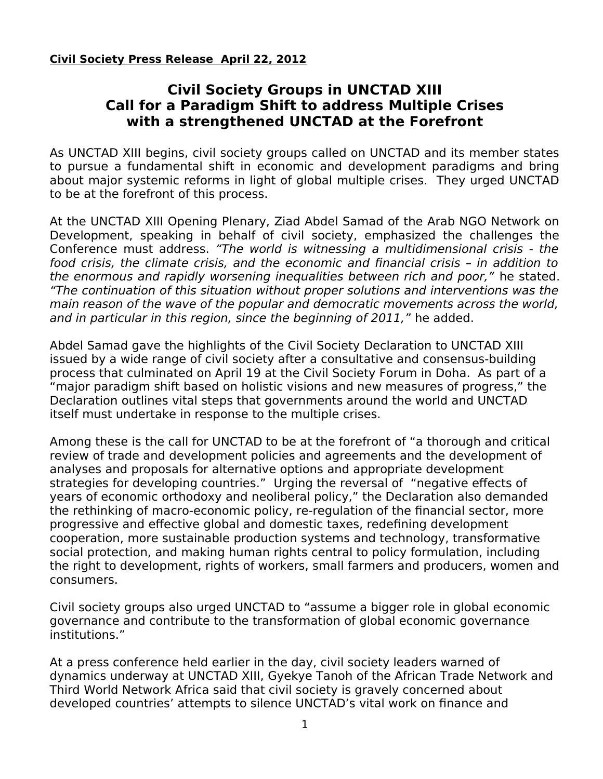**Civil Society Press Release April 22, 2012**

## **Civil Society Groups in UNCTAD XIII Call for a Paradigm Shift to address Multiple Crises with a strengthened UNCTAD at the Forefront**

As UNCTAD XIII begins, civil society groups called on UNCTAD and its member states to pursue a fundamental shift in economic and development paradigms and bring about major systemic reforms in light of global multiple crises. They urged UNCTAD to be at the forefront of this process.

At the UNCTAD XIII Opening Plenary, Ziad Abdel Samad of the Arab NGO Network on Development, speaking in behalf of civil society, emphasized the challenges the Conference must address. "The world is witnessing a multidimensional crisis - the food crisis, the climate crisis, and the economic and financial crisis – in addition to the enormous and rapidly worsening inequalities between rich and poor," he stated. "The continuation of this situation without proper solutions and interventions was the main reason of the wave of the popular and democratic movements across the world, and in particular in this region, since the beginning of 2011," he added.

Abdel Samad gave the highlights of the Civil Society Declaration to UNCTAD XIII issued by a wide range of civil society after a consultative and consensus-building process that culminated on April 19 at the Civil Society Forum in Doha. As part of a "major paradigm shift based on holistic visions and new measures of progress," the Declaration outlines vital steps that governments around the world and UNCTAD itself must undertake in response to the multiple crises.

Among these is the call for UNCTAD to be at the forefront of "a thorough and critical review of trade and development policies and agreements and the development of analyses and proposals for alternative options and appropriate development strategies for developing countries." Urging the reversal of "negative effects of years of economic orthodoxy and neoliberal policy," the Declaration also demanded the rethinking of macro-economic policy, re-regulation of the financial sector, more progressive and effective global and domestic taxes, redefining development cooperation, more sustainable production systems and technology, transformative social protection, and making human rights central to policy formulation, including the right to development, rights of workers, small farmers and producers, women and consumers.

Civil society groups also urged UNCTAD to "assume a bigger role in global economic governance and contribute to the transformation of global economic governance institutions."

At a press conference held earlier in the day, civil society leaders warned of dynamics underway at UNCTAD XIII, Gyekye Tanoh of the African Trade Network and Third World Network Africa said that civil society is gravely concerned about developed countries' attempts to silence UNCTAD's vital work on finance and